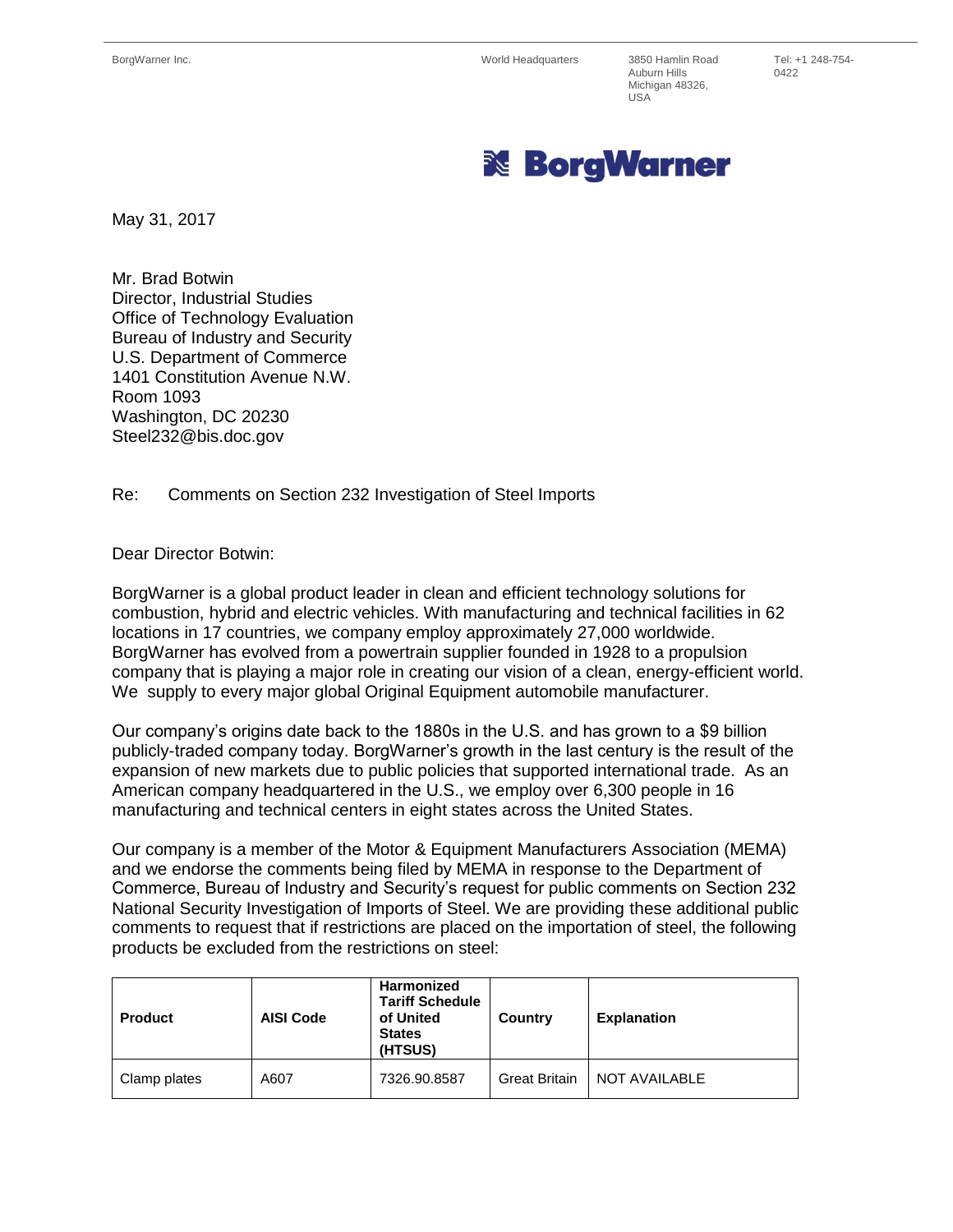Auburn Hills Michigan 48326, USA

Tel: +1 248-754- 0422



May 31, 2017

Mr. Brad Botwin Director, Industrial Studies Office of Technology Evaluation Bureau of Industry and Security U.S. Department of Commerce 1401 Constitution Avenue N.W. Room 1093 Washington, DC 20230 Steel232@bis.doc.gov

Re: Comments on Section 232 Investigation of Steel Imports

## Dear Director Botwin:

BorgWarner is a global product leader in clean and efficient technology solutions for combustion, hybrid and electric vehicles. With manufacturing and technical facilities in 62 locations in 17 countries, we company employ approximately 27,000 worldwide. BorgWarner has evolved from a powertrain supplier founded in 1928 to a propulsion company that is playing a major role in creating our vision of a clean, energy-efficient world. We supply to every major global Original Equipment automobile manufacturer.

Our company's origins date back to the 1880s in the U.S. and has grown to a \$9 billion publicly-traded company today. BorgWarner's growth in the last century is the result of the expansion of new markets due to public policies that supported international trade. As an American company headquartered in the U.S., we employ over 6,300 people in 16 manufacturing and technical centers in eight states across the United States.

Our company is a member of the Motor & Equipment Manufacturers Association (MEMA) and we endorse the comments being filed by MEMA in response to the Department of Commerce, Bureau of Industry and Security's request for public comments on Section 232 National Security Investigation of Imports of Steel. We are providing these additional public comments to request that if restrictions are placed on the importation of steel, the following products be excluded from the restrictions on steel:

| <b>Product</b> | <b>AISI Code</b> | Harmonized<br><b>Tariff Schedule</b><br>of United<br><b>States</b><br>(HTSUS) | Country              | <b>Explanation</b> |
|----------------|------------------|-------------------------------------------------------------------------------|----------------------|--------------------|
| Clamp plates   | A607             | 7326.90.8587                                                                  | <b>Great Britain</b> | NOT AVAILABLE      |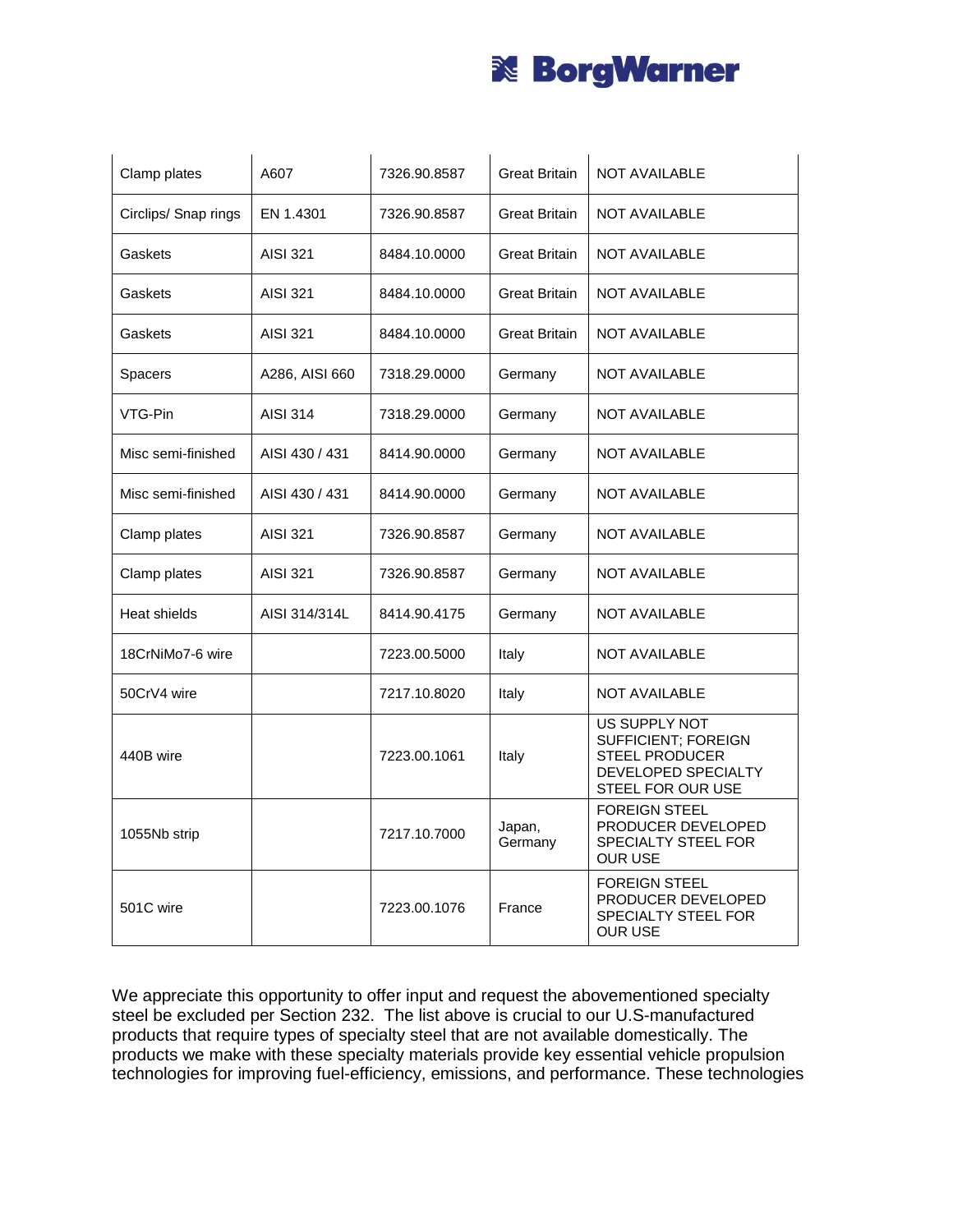

| Clamp plates         | A607            | 7326.90.8587 | <b>Great Britain</b> | <b>NOT AVAILABLE</b>                                                                                             |
|----------------------|-----------------|--------------|----------------------|------------------------------------------------------------------------------------------------------------------|
| Circlips/ Snap rings | EN 1.4301       | 7326.90.8587 | <b>Great Britain</b> | NOT AVAILABLE                                                                                                    |
| Gaskets              | AISI 321        | 8484.10.0000 | <b>Great Britain</b> | <b>NOT AVAILABLE</b>                                                                                             |
| Gaskets              | AISI 321        | 8484.10.0000 | <b>Great Britain</b> | <b>NOT AVAILABLE</b>                                                                                             |
| Gaskets              | AISI 321        | 8484.10.0000 | <b>Great Britain</b> | <b>NOT AVAILABLE</b>                                                                                             |
| <b>Spacers</b>       | A286, AISI 660  | 7318.29.0000 | Germany              | <b>NOT AVAILABLE</b>                                                                                             |
| VTG-Pin              | AISI 314        | 7318.29.0000 | Germany              | <b>NOT AVAILABLE</b>                                                                                             |
| Misc semi-finished   | AISI 430 / 431  | 8414.90.0000 | Germany              | <b>NOT AVAILABLE</b>                                                                                             |
| Misc semi-finished   | AISI 430 / 431  | 8414.90.0000 | Germany              | <b>NOT AVAILABLE</b>                                                                                             |
| Clamp plates         | <b>AISI 321</b> | 7326.90.8587 | Germany              | <b>NOT AVAILABLE</b>                                                                                             |
| Clamp plates         | <b>AISI 321</b> | 7326.90.8587 | Germany              | <b>NOT AVAILABLE</b>                                                                                             |
| Heat shields         | AISI 314/314L   | 8414.90.4175 | Germany              | <b>NOT AVAILABLE</b>                                                                                             |
| 18CrNiMo7-6 wire     |                 | 7223.00.5000 | Italy                | <b>NOT AVAILABLE</b>                                                                                             |
| 50CrV4 wire          |                 | 7217.10.8020 | Italy                | <b>NOT AVAILABLE</b>                                                                                             |
| 440B wire            |                 | 7223.00.1061 | Italy                | US SUPPLY NOT<br><b>SUFFICIENT; FOREIGN</b><br><b>STEEL PRODUCER</b><br>DEVELOPED SPECIALTY<br>STEEL FOR OUR USE |
| 1055Nb strip         |                 | 7217.10.7000 | Japan,<br>Germany    | <b>FOREIGN STEEL</b><br>PRODUCER DEVELOPED<br><b>SPECIALTY STEEL FOR</b><br><b>OUR USE</b>                       |
| 501C wire            |                 | 7223.00.1076 | France               | <b>FOREIGN STEEL</b><br>PRODUCER DEVELOPED<br>SPECIALTY STEEL FOR<br><b>OUR USE</b>                              |

We appreciate this opportunity to offer input and request the abovementioned specialty steel be excluded per Section 232. The list above is crucial to our U.S-manufactured products that require types of specialty steel that are not available domestically. The products we make with these specialty materials provide key essential vehicle propulsion technologies for improving fuel-efficiency, emissions, and performance. These technologies